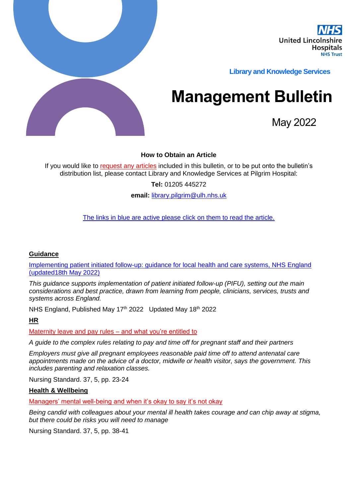

**Library and Knowledge Services** 

# **Management Bulletin**

May 2022

## **How to Obtain an Article**

If you would like to request any articles included in this bulletin, or to be put onto the bulletin's distribution list, please contact Library and Knowledge Services at Pilgrim Hospital:

**Tel:** 01205 445272

**email:** [library.pilgrim@ulh.nhs.uk](mailto:library.pilgrim@ulh.nhs.uk)

The links in blue are active please click on them to read the article.

## **Guidance**

[Implementing patient initiated follow-up: guidance for local health and care systems, NHS England](https://www.england.nhs.uk/publication/implementing-patient-initiated-follow-up-guidance-for-local-health-and-care-systems/)  [\(updated18th May 2022\)](https://www.england.nhs.uk/publication/implementing-patient-initiated-follow-up-guidance-for-local-health-and-care-systems/)

*This guidance supports implementation of patient initiated follow-up (PIFU), setting out the main considerations and best practice, drawn from learning from people, clinicians, services, trusts and systems across England.*

NHS England, Published May 17<sup>th</sup> 2022 Updated May 18<sup>th</sup> 2022

**HR**

Maternity leave and pay rules – and what you're entitled to

*A guide to the complex rules relating to pay and time off for pregnant staff and their partners*

*Employers must give all pregnant employees reasonable paid time off to attend antenatal care appointments made on the advice of a doctor, midwife or health visitor, says the government. This includes parenting and relaxation classes.*

Nursing Standard. 37, 5, pp. 23-24

#### **Health & Wellbeing**

Managers' mental well-being and when it's okay to say it's not okay

*Being candid with colleagues about your mental ill health takes courage and can chip away at stigma, but there could be risks you will need to manage*

Nursing Standard. 37, 5, pp. 38-41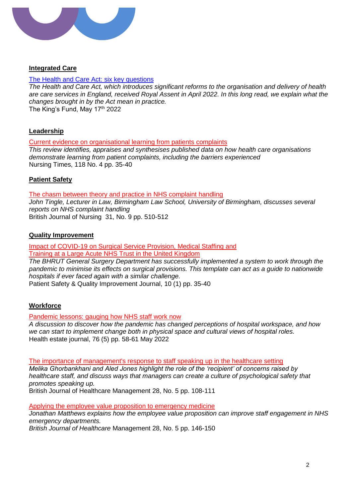

## **Integrated Care**

#### [The Health and Care Act:](https://www.kingsfund.org.uk/publications/health-and-care-act-key-questions) six key questions

*The Health and Care Act, which introduces significant reforms to the organisation and delivery of health are care services in England, received Royal Assent in April 2022. In this long read, we explain what the changes brought in by the Act mean in practice.* The King's Fund, May  $17<sup>th</sup>$  2022

## **Leadership**

Current evidence on organisational learning from patients complaints

*This review identifies, appraises and synthesises published data on how health care organisations demonstrate learning from patient complaints, including the barriers experienced* Nursing Times, 118 No. 4 pp. 35-40

## **Patient Safety**

The chasm between theory and practice in NHS complaint handling *John Tingle, Lecturer in Law, Birmingham Law School, University of Birmingham, discusses several reports on NHS complaint handling* British Journal of Nursing 31, No. 9 pp. 510-512

## **Quality Improvement**

Impact of COVID-19 on Surgical Service Provision, Medical Staffing and Training at a Large Acute NHS Trust in the United Kingdom

*The BHRUT General Surgery Department has successfully implemented a system to work through the pandemic to minimise its effects on surgical provisions. This template can act as a guide to nationwide hospitals if ever faced again with a similar challenge.*

Patient Safety & Quality Improvement Journal, 10 (1) pp. 35-40

## **Workforce**

Pandemic lessons: gauging how NHS staff work now

*A discussion to discover how the pandemic has changed perceptions of hospital workspace, and how we can start to implement change both in physical space and cultural views of hospital roles.* Health estate journal, 76 (5) pp. 58-61 May 2022

The importance of management's response to staff speaking up in the healthcare setting

*Melika Ghorbankhani and Aled Jones highlight the role of the 'recipient' of concerns raised by healthcare staff, and discuss ways that managers can create a culture of psychological safety that promotes speaking up.*

British Journal of Healthcare Management 28, No. 5 pp. 108-111

Applying the employee value proposition to emergency medicine

*Jonathan Matthews explains how the employee value proposition can improve staff engagement in NHS emergency departments.*

*British Journal of Healthcare* Management 28, No. 5 pp. 146-150